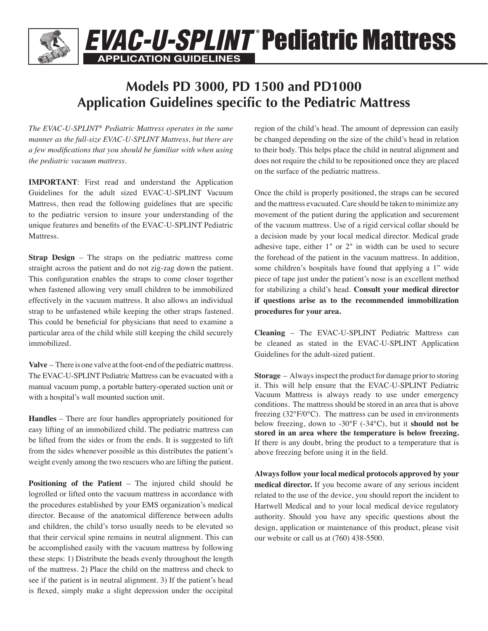# **APPLICATION GUIDELINES EVAC-U-SPLINT Pediatric Mattress**

### **Models PD 3000, PD 1500 and PD1000 Application Guidelines specific to the Pediatric Mattress**

*The EVAC-U-SPLINT® Pediatric Mattress operates in the same manner as the full-size EVAC-U-SPLINT Mattress, but there are a few modifications that you should be familiar with when using the pediatric vacuum mattress.*

**IMPORTANT:** First read and understand the Application Guidelines for the adult sized EVAC-U-SPLINT Vacuum Mattress, then read the following guidelines that are specific to the pediatric version to insure your understanding of the unique features and benefits of the EVAC-U-SPLINT Pediatric Mattress.

**Strap Design** – The straps on the pediatric mattress come straight across the patient and do not zig-zag down the patient. This configuration enables the straps to come closer together when fastened allowing very small children to be immobilized effectively in the vacuum mattress. It also allows an individual strap to be unfastened while keeping the other straps fastened. This could be beneficial for physicians that need to examine a particular area of the child while still keeping the child securely immobilized.

**Valve** – There is one valve at the foot-end of the pediatric mattress. The EVAC-U-SPLINT Pediatric Mattress can be evacuated with a manual vacuum pump, a portable battery-operated suction unit or with a hospital's wall mounted suction unit.

**Handles** – There are four handles appropriately positioned for easy lifting of an immobilized child. The pediatric mattress can be lifted from the sides or from the ends. It is suggested to lift from the sides whenever possible as this distributes the patient's weight evenly among the two rescuers who are lifting the patient.

**Positioning of the Patient** – The injured child should be logrolled or lifted onto the vacuum mattress in accordance with the procedures established by your EMS organization's medical director. Because of the anatomical difference between adults and children, the child's torso usually needs to be elevated so that their cervical spine remains in neutral alignment. This can be accomplished easily with the vacuum mattress by following these steps: 1) Distribute the beads evenly throughout the length of the mattress. 2) Place the child on the mattress and check to see if the patient is in neutral alignment. 3) If the patient's head is flexed, simply make a slight depression under the occipital

region of the child's head. The amount of depression can easily be changed depending on the size of the child's head in relation to their body. This helps place the child in neutral alignment and does not require the child to be repositioned once they are placed on the surface of the pediatric mattress.

Once the child is properly positioned, the straps can be secured and the mattress evacuated. Care should be taken to minimize any movement of the patient during the application and securement of the vacuum mattress. Use of a rigid cervical collar should be a decision made by your local medical director. Medical grade adhesive tape, either 1" or 2" in width can be used to secure the forehead of the patient in the vacuum mattress. In addition, some children's hospitals have found that applying a 1" wide piece of tape just under the patient's nose is an excellent method for stabilizing a child's head. **Consult your medical director if questions arise as to the recommended immobilization procedures for your area.**

**Cleaning** – The EVAC-U-SPLINT Pediatric Mattress can be cleaned as stated in the EVAC-U-SPLINT Application Guidelines for the adult-sized patient.

**Storage** – Always inspect the product for damage prior to storing it. This will help ensure that the EVAC-U-SPLINT Pediatric Vacuum Mattress is always ready to use under emergency conditions. The mattress should be stored in an area that is above freezing (32°F/0°C). The mattress can be used in environments below freezing, down to -30°F (-34°C), but it **should not be stored in an area where the temperature is below freezing.** If there is any doubt, bring the product to a temperature that is above freezing before using it in the field.

**Always follow your local medical protocols approved by your medical director.** If you become aware of any serious incident related to the use of the device, you should report the incident to Hartwell Medical and to your local medical device regulatory authority. Should you have any specific questions about the design, application or maintenance of this product, please visit our website or call us at (760) 438-5500.